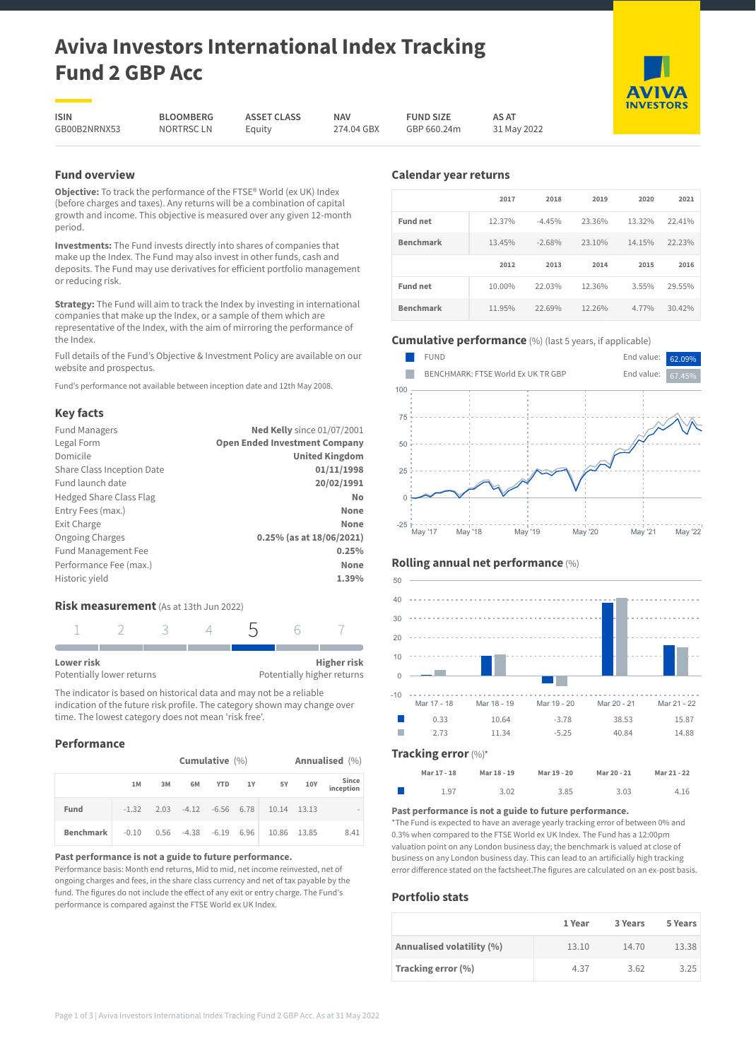# **Aviva Investors International Index Tracking Fund 2 GBP Acc**

**ISIN** GB00B2NRNX53

**BLOOMBERG** Equity

**NAV** 274.04 GBX **FUND SIZE**

**AS AT** 31 May 2022

NORTRSC LN

**ASSET CLASS**

GBP 660.24m

## **Fund overview**

**Objective:** To track the performance of the FTSE® World (ex UK) Index (before charges and taxes). Any returns will be a combination of capital growth and income. This objective is measured over any given 12-month period.

**Investments:** The Fund invests directly into shares of companies that make up the Index. The Fund may also invest in other funds, cash and deposits. The Fund may use derivatives for efficient portfolio management or reducing risk.

**Strategy:** The Fund will aim to track the Index by investing in international companies that make up the Index, or a sample of them which are representative of the Index, with the aim of mirroring the performance of the Index.

Full details of the Fund's Objective & Investment Policy are available on our website and prospectus.

Fund's performance not available between inception date and 12th May 2008.

## **Key facts**

| <b>Fund Managers</b>           | <b>Ned Kelly</b> since 01/07/2001    |
|--------------------------------|--------------------------------------|
| Legal Form                     | <b>Open Ended Investment Company</b> |
| Domicile                       | <b>United Kingdom</b>                |
| Share Class Inception Date     | 01/11/1998                           |
| Fund launch date               | 20/02/1991                           |
| <b>Hedged Share Class Flag</b> | No                                   |
| Entry Fees (max.)              | None                                 |
| Exit Charge                    | None                                 |
| <b>Ongoing Charges</b>         | 0.25% (as at 18/06/2021)             |
| <b>Fund Management Fee</b>     | 0.25%                                |
| Performance Fee (max.)         | None                                 |
| Historic yield                 | 1.39%                                |
|                                |                                      |

## **Risk measurement** (As at 13th Jun 2022)

| Lower risk                |  |  | <b>Higher risk</b>         |
|---------------------------|--|--|----------------------------|
| Potentially lower returns |  |  | Potentially higher returns |

The indicator is based on historical data and may not be a reliable indication of the future risk profile. The category shown may change over time. The lowest category does not mean 'risk free'.

## **Performance**

|                  | Cumulative $(\%)$ |      |                         |            |    |             |     | Annualised (%)     |
|------------------|-------------------|------|-------------------------|------------|----|-------------|-----|--------------------|
|                  | 1M                | 3M   | 6M                      | <b>YTD</b> | 1Y | <b>5Y</b>   | 10Y | Since<br>inception |
| Fund             | $-1.32$           |      | $2.03 -4.12 -6.56 6.78$ |            |    | 10.14 13.13 |     |                    |
| <b>Benchmark</b> | $-0.10$           | 0.56 | $-4.38 -6.19 6.96$      |            |    | 10.86 13.85 |     | 8.41               |

#### **Past performance is not a guide to future performance.**

Performance basis: Month end returns, Mid to mid, net income reinvested, net of ongoing charges and fees, in the share class currency and net of tax payable by the fund. The figures do not include the effect of any exit or entry charge. The Fund's performance is compared against the FTSE World ex UK Index.

## **Calendar year returns**

|                  | 2017   | 2018     | 2019   | 2020   | 2021   |
|------------------|--------|----------|--------|--------|--------|
| <b>Fund net</b>  | 12.37% | $-4.45%$ | 23.36% | 13.32% | 22.41% |
| <b>Benchmark</b> | 13.45% | $-2.68%$ | 23.10% | 14.15% | 22.23% |
|                  |        |          |        |        |        |
|                  | 2012   | 2013     | 2014   | 2015   | 2016   |
| <b>Fund net</b>  | 10.00% | 22.03%   | 12.36% | 3.55%  | 29.55% |

## **Cumulative performance** (%) (last 5 years, if applicable)



## **Rolling annual net performance** (%)



## **Mar 17 - 18 Mar 18 - 19 Mar 19 - 20 Mar 20 - 21 Mar 21 - 22** 1.97 3.02 3.85 3.03 4.16

#### **Past performance is not a guide to future performance.**

\*The Fund is expected to have an average yearly tracking error of between 0% and 0.3% when compared to the FTSE World ex UK Index. The Fund has a 12:00pm valuation point on any London business day; the benchmark is valued at close of business on any London business day. This can lead to an artificially high tracking error difference stated on the factsheet.The figures are calculated on an ex-post basis.

## **Portfolio stats**

|                           | 1 Year | 3 Years | 5 Years |
|---------------------------|--------|---------|---------|
| Annualised volatility (%) | 13.10  | 14.70   | 13.38   |
| Tracking error (%)        | 4.37   | 3.62    | 3.25    |



**AVIVA INVESTORS**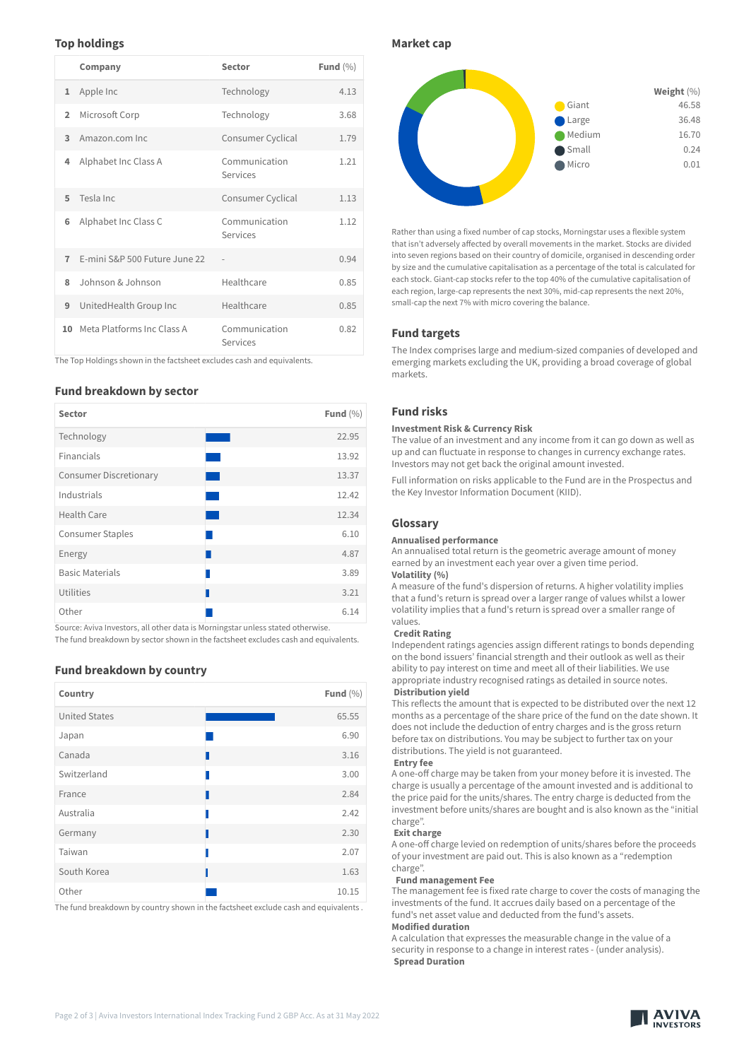## **Top holdings**

|                | Company                       | Sector                    | Fund $(\% )$ |
|----------------|-------------------------------|---------------------------|--------------|
| $\mathbf{1}$   | Apple Inc                     | Technology                | 4.13         |
| $\overline{2}$ | Microsoft Corp                | Technology                | 3.68         |
| 3              | Amazon.com Inc.               | Consumer Cyclical         | 1.79         |
| 4              | Alphabet Inc Class A          | Communication<br>Services | 1.21         |
| 5              | Tesla Inc                     | Consumer Cyclical         | 1.13         |
| 6              | Alphabet Inc Class C          | Communication<br>Services | 1.12         |
| $\overline{7}$ | E-mini S&P 500 Future June 22 |                           | 0.94         |
| 8              | Johnson & Johnson             | Healthcare                | 0.85         |
| 9              | UnitedHealth Group Inc        | Healthcare                | 0.85         |
|                | 10 Meta Platforms Inc Class A | Communication<br>Services | 0.82         |

The Top Holdings shown in the factsheet excludes cash and equivalents.

#### **Fund breakdown by sector**

| <b>Sector</b>                 | Fund $(\% )$ |
|-------------------------------|--------------|
| Technology                    | 22.95        |
| Financials                    | 13.92        |
| <b>Consumer Discretionary</b> | 13.37        |
| Industrials                   | 12.42        |
| Health Care                   | 12.34        |
| <b>Consumer Staples</b>       | 6.10         |
| Energy                        | 4.87         |
| <b>Basic Materials</b>        | 3.89         |
| Utilities                     | 3.21         |
| Other                         | 6.14         |

Source: Aviva Investors, all other data is Morningstar unless stated otherwise. The fund breakdown by sector shown in the factsheet excludes cash and equivalents.

**Fund breakdown by country**

| Country              | Fund $(\% )$ |
|----------------------|--------------|
| <b>United States</b> | 65.55        |
| Japan                | 6.90         |
| Canada               | 3.16         |
| Switzerland          | 3.00         |
| France               | 2.84         |
| Australia            | 2.42         |
| Germany              | 2.30         |
| Taiwan               | 2.07         |
| South Korea          | 1.63         |
| Other                | 10.15        |

The fund breakdown by country shown in the factsheet exclude cash and equivalents .

**Market cap**



Rather than using a fixed number of cap stocks, Morningstar uses a flexible system that isn't adversely affected by overall movements in the market. Stocks are divided into seven regions based on their country of domicile, organised in descending order by size and the cumulative capitalisation as a percentage of the total is calculated for each stock. Giant-cap stocks refer to the top 40% of the cumulative capitalisation of each region, large-cap represents the next 30%, mid-cap represents the next 20%, small-cap the next 7% with micro covering the balance.

### **Fund targets**

The Index comprises large and medium-sized companies of developed and emerging markets excluding the UK, providing a broad coverage of global markets.

## **Fund risks**

#### **Investment Risk & Currency Risk**

The value of an investment and any income from it can go down as well as up and can fluctuate in response to changes in currency exchange rates. Investors may not get back the original amount invested.

Full information on risks applicable to the Fund are in the Prospectus and the Key Investor Information Document (KIID).

#### **Glossary**

#### **Annualised performance**

An annualised total return is the geometric average amount of money earned by an investment each year over a given time period. **Volatility (%)**

A measure of the fund's dispersion of returns. A higher volatility implies that a fund's return is spread over a larger range of values whilst a lower volatility implies that a fund's return is spread over a smaller range of values.

#### **Credit Rating**

Independent ratings agencies assign different ratings to bonds depending on the bond issuers' financial strength and their outlook as well as their ability to pay interest on time and meet all of their liabilities. We use appropriate industry recognised ratings as detailed in source notes.

**Distribution yield**

This reflects the amount that is expected to be distributed over the next 12 months as a percentage of the share price of the fund on the date shown. It does not include the deduction of entry charges and is the gross return before tax on distributions. You may be subject to further tax on your distributions. The yield is not guaranteed.

#### **Entry fee**

A one-off charge may be taken from your money before it is invested. The charge is usually a percentage of the amount invested and is additional to the price paid for the units/shares. The entry charge is deducted from the investment before units/shares are bought and is also known as the "initial charge".

#### **Exit charge**

A one-off charge levied on redemption of units/shares before the proceeds of your investment are paid out. This is also known as a "redemption charge".

#### **Fund management Fee**

The management fee is fixed rate charge to cover the costs of managing the investments of the fund. It accrues daily based on a percentage of the fund's net asset value and deducted from the fund's assets. **Modified duration**

A calculation that expresses the measurable change in the value of a security in response to a change in interest rates - (under analysis). **Spread Duration**